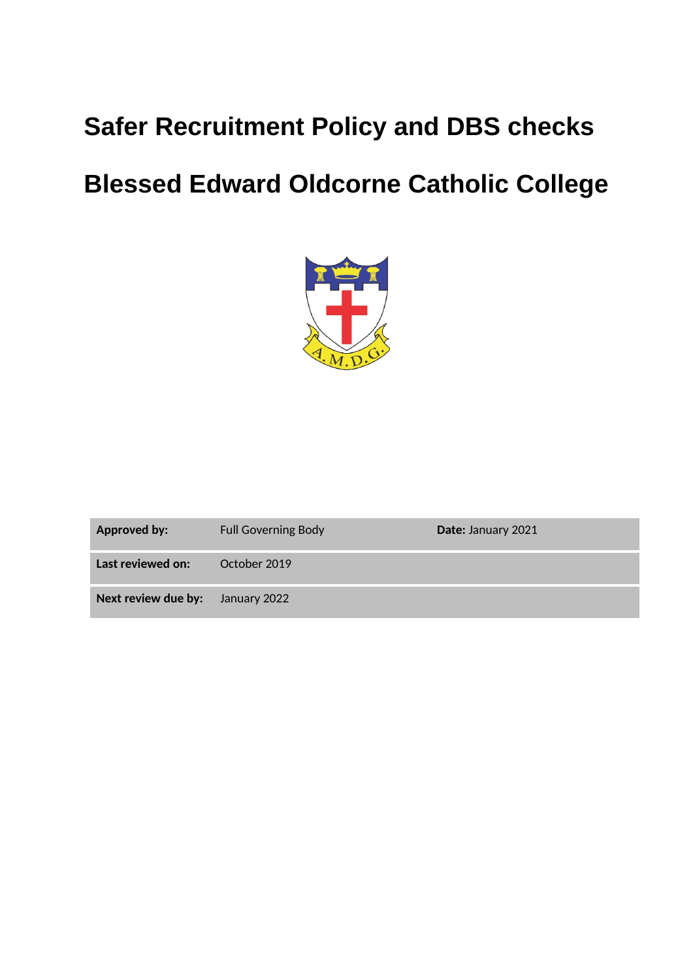# **Safer Recruitment Policy and DBS checks**

# **Blessed Edward Oldcorne Catholic College**



| <b>Approved by:</b> | <b>Full Governing Body</b> | Date: January 2021 |
|---------------------|----------------------------|--------------------|
| Last reviewed on:   | October 2019               |                    |
| Next review due by: | January 2022               |                    |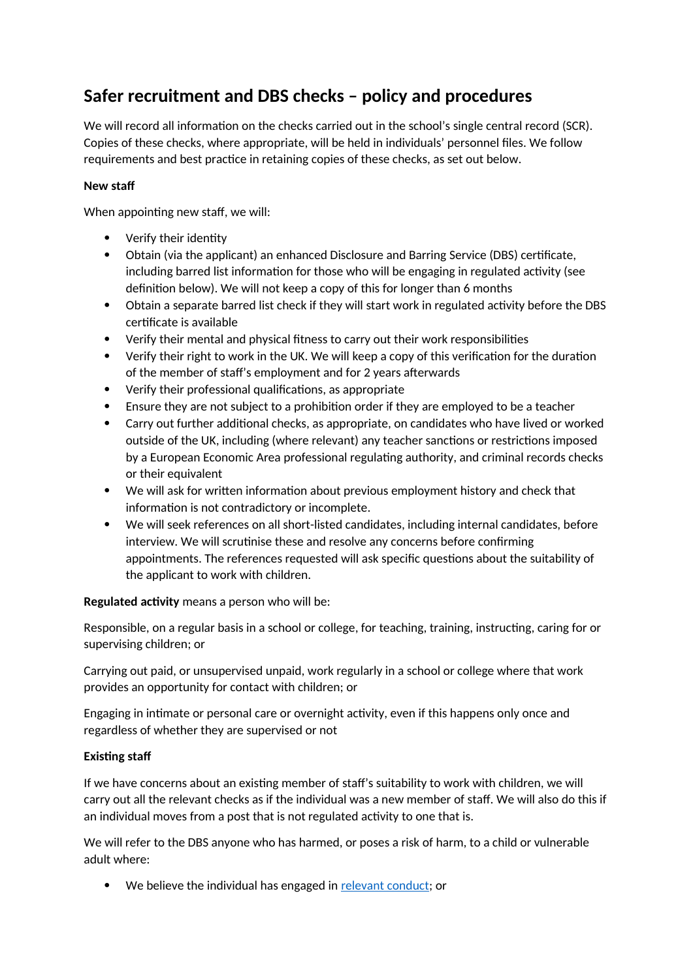# **Safer recruitment and DBS checks – policy and procedures**

We will record all information on the checks carried out in the school's single central record (SCR). Copies of these checks, where appropriate, will be held in individuals' personnel files. We follow requirements and best practice in retaining copies of these checks, as set out below.

# **New staff**

When appointing new staff, we will:

- Verify their identity
- Obtain (via the applicant) an enhanced Disclosure and Barring Service (DBS) certificate, including barred list information for those who will be engaging in regulated activity (see definition below). We will not keep a copy of this for longer than 6 months
- Obtain a separate barred list check if they will start work in regulated activity before the DBS certificate is available
- Verify their mental and physical fitness to carry out their work responsibilities
- Verify their right to work in the UK. We will keep a copy of this verification for the duration of the member of staff's employment and for 2 years afterwards
- Verify their professional qualifications, as appropriate
- Ensure they are not subject to a prohibition order if they are employed to be a teacher
- Carry out further additional checks, as appropriate, on candidates who have lived or worked outside of the UK, including (where relevant) any teacher sanctions or restrictions imposed by a European Economic Area professional regulating authority, and criminal records checks or their equivalent
- We will ask for written information about previous employment history and check that information is not contradictory or incomplete.
- We will seek references on all short-listed candidates, including internal candidates, before interview. We will scrutinise these and resolve any concerns before confirming appointments. The references requested will ask specific questions about the suitability of the applicant to work with children.

**Regulated activity** means a person who will be:

Responsible, on a regular basis in a school or college, for teaching, training, instructing, caring for or supervising children; or

Carrying out paid, or unsupervised unpaid, work regularly in a school or college where that work provides an opportunity for contact with children; or

Engaging in intimate or personal care or overnight activity, even if this happens only once and regardless of whether they are supervised or not

# **Existing staff**

If we have concerns about an existing member of staff's suitability to work with children, we will carry out all the relevant checks as if the individual was a new member of staff. We will also do this if an individual moves from a post that is not regulated activity to one that is.

We will refer to the DBS anyone who has harmed, or poses a risk of harm, to a child or vulnerable adult where:

• We believe the individual has engaged in [relevant conduct;](https://www.gov.uk/guidance/making-barring-referrals-to-the-dbs#relevant-conduct-in-relation-to-children) or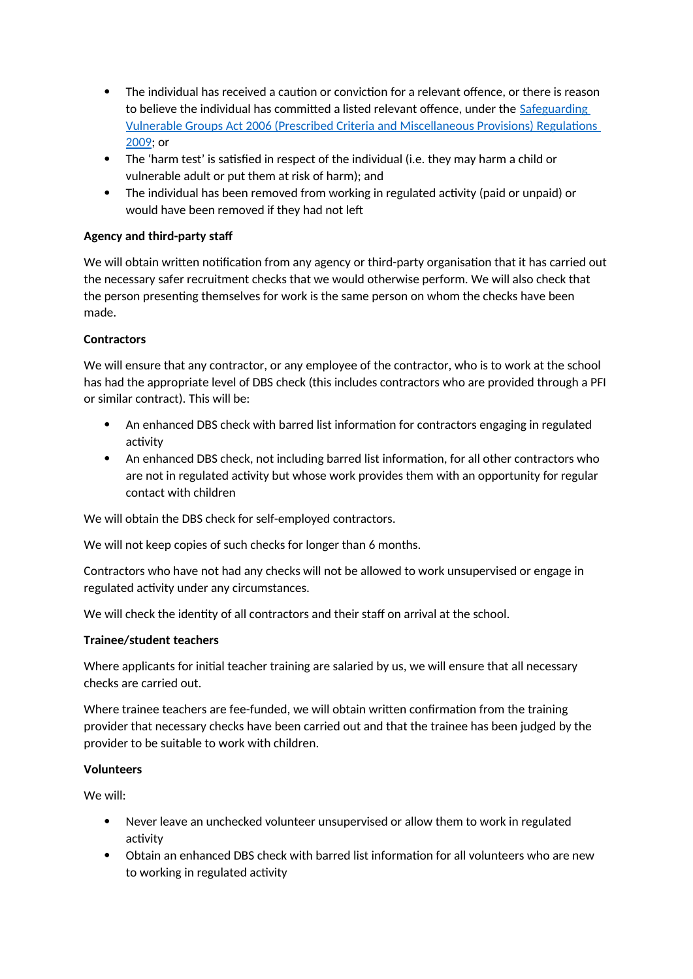- The individual has received a caution or conviction for a relevant offence, or there is reason to believe the individual has committed a listed relevant offence, under the [Safeguarding](http://www.legislation.gov.uk/uksi/2009/37/contents/made)  [Vulnerable Groups Act 2006 \(Prescribed Criteria and Miscellaneous Provisions\) Regulations](http://www.legislation.gov.uk/uksi/2009/37/contents/made)  [2009;](http://www.legislation.gov.uk/uksi/2009/37/contents/made) or
- The 'harm test' is satisfied in respect of the individual (i.e. they may harm a child or vulnerable adult or put them at risk of harm); and
- The individual has been removed from working in regulated activity (paid or unpaid) or would have been removed if they had not left

# **Agency and third-party staff**

We will obtain written notification from any agency or third-party organisation that it has carried out the necessary safer recruitment checks that we would otherwise perform. We will also check that the person presenting themselves for work is the same person on whom the checks have been made.

# **Contractors**

We will ensure that any contractor, or any employee of the contractor, who is to work at the school has had the appropriate level of DBS check (this includes contractors who are provided through a PFI or similar contract). This will be:

- An enhanced DBS check with barred list information for contractors engaging in regulated activity
- An enhanced DBS check, not including barred list information, for all other contractors who are not in regulated activity but whose work provides them with an opportunity for regular contact with children

We will obtain the DBS check for self-employed contractors.

We will not keep copies of such checks for longer than 6 months.

Contractors who have not had any checks will not be allowed to work unsupervised or engage in regulated activity under any circumstances.

We will check the identity of all contractors and their staff on arrival at the school.

#### **Trainee/student teachers**

Where applicants for initial teacher training are salaried by us, we will ensure that all necessary checks are carried out.

Where trainee teachers are fee-funded, we will obtain written confirmation from the training provider that necessary checks have been carried out and that the trainee has been judged by the provider to be suitable to work with children.

#### **Volunteers**

We will:

- Never leave an unchecked volunteer unsupervised or allow them to work in regulated activity
- Obtain an enhanced DBS check with barred list information for all volunteers who are new to working in regulated activity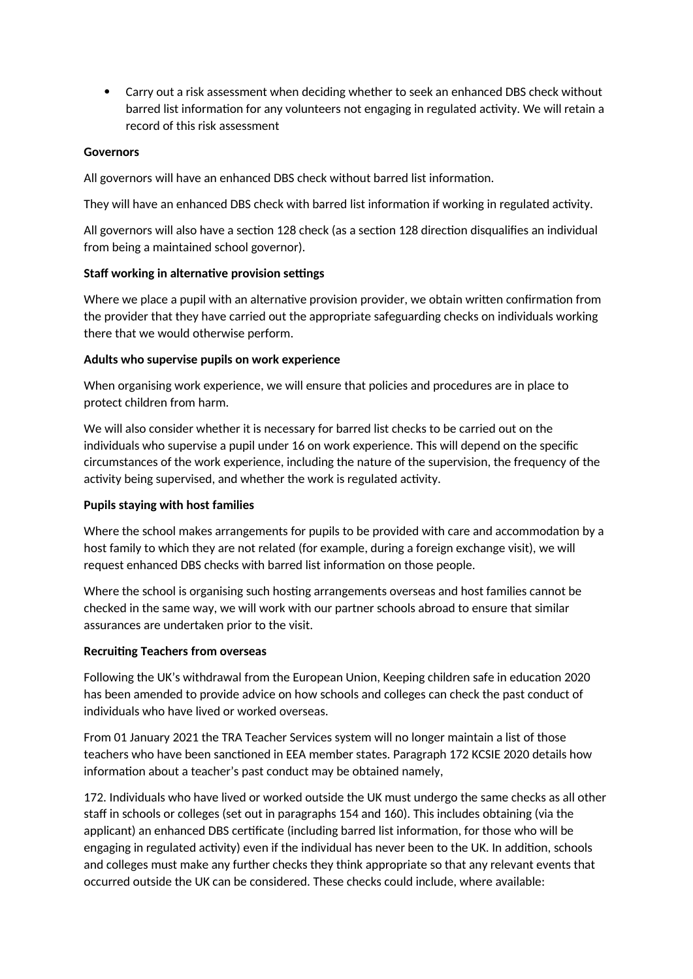Carry out a risk assessment when deciding whether to seek an enhanced DBS check without barred list information for any volunteers not engaging in regulated activity. We will retain a record of this risk assessment

#### **Governors**

All governors will have an enhanced DBS check without barred list information.

They will have an enhanced DBS check with barred list information if working in regulated activity.

All governors will also have a section 128 check (as a section 128 direction disqualifies an individual from being a maintained school governor).

#### **Staff working in alternative provision settings**

Where we place a pupil with an alternative provision provider, we obtain written confirmation from the provider that they have carried out the appropriate safeguarding checks on individuals working there that we would otherwise perform.

#### **Adults who supervise pupils on work experience**

When organising work experience, we will ensure that policies and procedures are in place to protect children from harm.

We will also consider whether it is necessary for barred list checks to be carried out on the individuals who supervise a pupil under 16 on work experience. This will depend on the specific circumstances of the work experience, including the nature of the supervision, the frequency of the activity being supervised, and whether the work is regulated activity.

# **Pupils staying with host families**

Where the school makes arrangements for pupils to be provided with care and accommodation by a host family to which they are not related (for example, during a foreign exchange visit), we will request enhanced DBS checks with barred list information on those people.

Where the school is organising such hosting arrangements overseas and host families cannot be checked in the same way, we will work with our partner schools abroad to ensure that similar assurances are undertaken prior to the visit.

#### **Recruiting Teachers from overseas**

Following the UK's withdrawal from the European Union, Keeping children safe in education 2020 has been amended to provide advice on how schools and colleges can check the past conduct of individuals who have lived or worked overseas.

From 01 January 2021 the TRA Teacher Services system will no longer maintain a list of those teachers who have been sanctioned in EEA member states. Paragraph 172 KCSIE 2020 details how information about a teacher's past conduct may be obtained namely,

172. Individuals who have lived or worked outside the UK must undergo the same checks as all other staff in schools or colleges (set out in paragraphs 154 and 160). This includes obtaining (via the applicant) an enhanced DBS certificate (including barred list information, for those who will be engaging in regulated activity) even if the individual has never been to the UK. In addition, schools and colleges must make any further checks they think appropriate so that any relevant events that occurred outside the UK can be considered. These checks could include, where available: